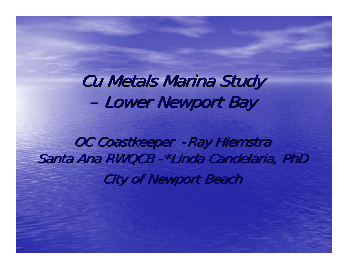**Cu Metals Marina Study** –- Lower Newport Bay

OC Coastkeeper - Ray Hiemstra Santa Ana RWQCB - \*Linda Candelaria, PhD **City of Newport Beach**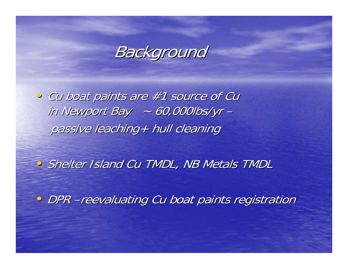

• Cu boat paints are #1 source of Cu in Newport Bay  $~\sim$  60,000lbs/yr – passive leaching+ hull cleaning

• Shelter Island Cu TMDL, NB Metals TMDL

• DPR –reevaluating Cu boat paints registration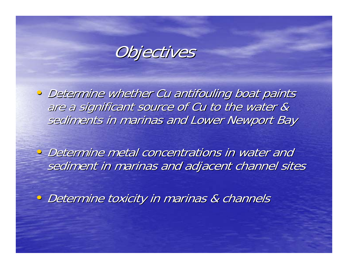

• Determine whether Cu antifouling boat paints are a significant source of Cu to the water & sediments in marinas and Lower Newport Bay

• Determine metal concentrations in water and sediment in marinas and adjacent channel sites

· Determine toxicity in marinas & channels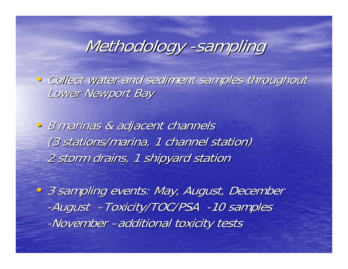# Methodology -sampling

• Collect water and sediment samples throughout Lower Newport Bay

• 8 marinas & adjacent channels (3 stations/marina, 1 channel station) 2 storm drains, 1 shipyard station

• 3 sampling events: May, August, December -August -Toxicity/TOC/PSA -10 samples -November –additional toxicity tests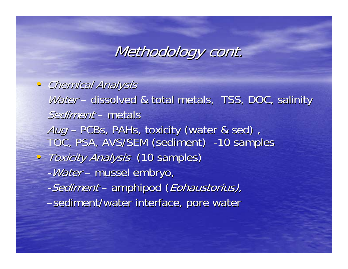### Methodology cont.

• Chemical Analysis •Water – – dissolved & total metals, TSS, DOC, salinity Sediment – metals Aug - PCBs, PAHs, toxicity (water & sed), TOC, PSA, AVS/SEM (sediment) -10 samples • Toxicity Analysis (10 samples) -Water – –– mussel embryo, -Sediment – amphipod ( Eohaustorius), –sediment/water interface, pore water sediment/water interface, pore water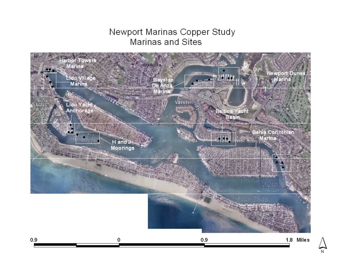### Newport Marinas Copper Study **Marinas and Sites**

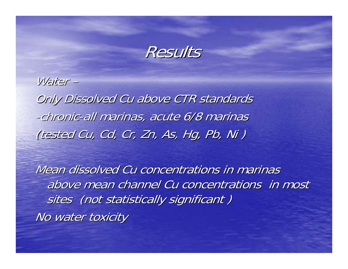

Water – Only Dissolved Cu above CTR standards -chronic-all marinas, acute 6/8 marinas (tested Cu, Cd, Cr, Zn, As, Hg, Pb, Ni)

Mean dissolved Cu concentrations in marinas above mean channel Cu concentrations in most sites (not statistically significant) No water toxicity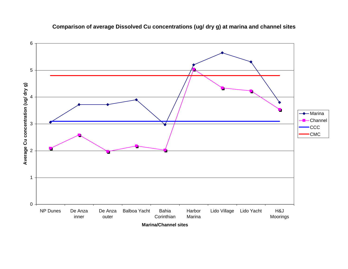

#### **Comparison of average Dissolved Cu concentrations (ug/ dry g) at marina and channel sites**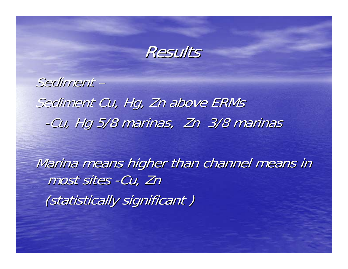

Sediment – Sediment Cu, Hg, Zn above ERMs -Cu, Hg 5/8 marinas, Zn 3/8 marinas

Marina means higher than channel means in most sites -Cu, Zn (statistically significant)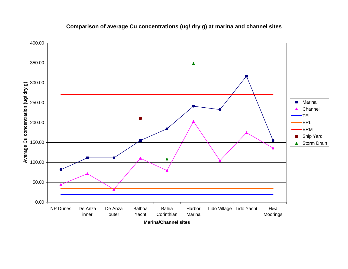

#### **Comparison of average Cu concentrations (ug/ dry g) at marina and channel sites**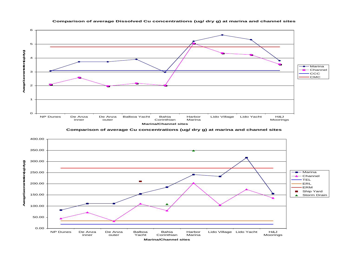

**Comparison of average Dissolved Cu concentrations (ug/ dry g) at marina and channel sites**

**Comparison of average Cu concentrations (ug/ dry g) at marina and channel sites**

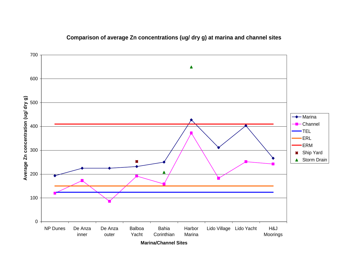

#### **Comparison of average Zn concentrations (ug/ dry g) at marina and channel sites**

**Marina/Channel Sites**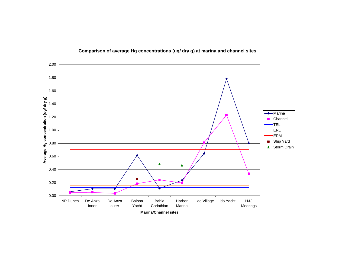

#### **Comparison of average Hg concentrations (ug/ dry g) at marina and channel sites**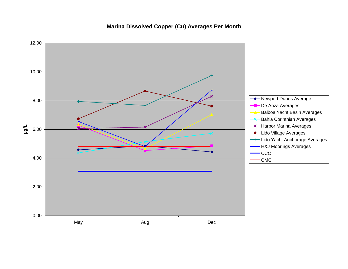**Marina Dissolved Copper (Cu) Averages Per Month**

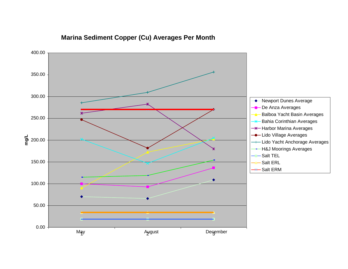#### **Marina Sediment Copper (Cu) Averages Per Month**

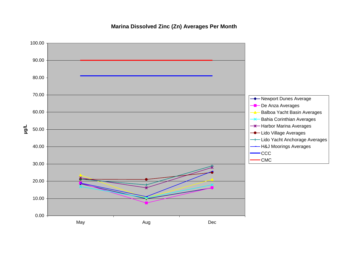**Marina Dissolved Zinc (Zn) Averages Per Month**

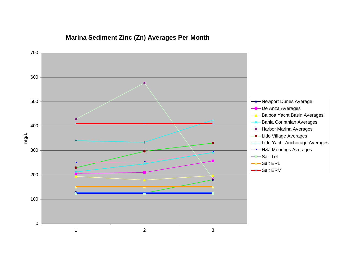#### **Marina Sediment Zinc (Zn) Averages Per Month**

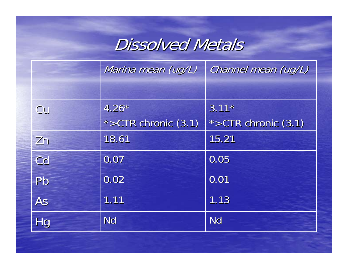## **Dissolved Metals**

|    | Marina mean (ug/L)  | Channel mean (ug/L)       |
|----|---------------------|---------------------------|
|    |                     |                           |
| Cu | $4.26*$             | $3.11*$                   |
|    | *>CTR chronic (3.1) | $*$ > CTR chronic $(3.1)$ |
| Zn | 18.61               | 15.21                     |
| Cd | 0.07                | 0.05                      |
| Pb | 0.02                | 0.01                      |
| As | 1.11                | 1.13                      |
| Hg | <b>Nd</b>           | <b>Nd</b>                 |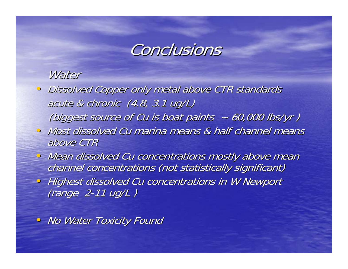

### Water

- Dissolved Copper only metal above CTR standards acute & chronic  $(4.8, 3.1 \text{ ug/L})$ (biggest source of Cu is boat paints  $~ 60,000$  lbs/yr)
- Most dissolved Cu marina means & half channel means above CTR
- Mean dissolved Cu concentrations mostly above mean channel concentrations (not statistically significant)
- Highest dissolved Cu concentrations in W Newport  $(range<sub>2-11</sub> ug/L)$

• No Water Toxicity Found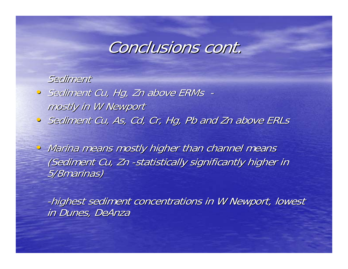## Conclusions cont.

### Sediment

- **Sediment Cu, Hg, Zn above ERMs**  mostly in W Newport
- Sediment Cu, As, Cd, Cr, Hg, Pb and Zn above ERLs

• Marina means mostly higher than channel means (Sediment Cu, Zn -statistically significantly higher in 5/8marinas)

-highest sediment concentrations in W Newport, lowest in Dunes, DeAnza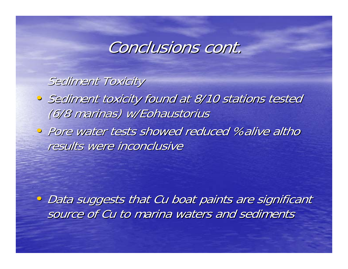## Conclusions cont.

### Sediment Toxicity

- Sediment toxicity found at 8/10 stations tested (6/8 marinas) w/Eohaustorius
- Pore water tests showed reduced %alive altho results were inconclusive

• Data suggests that Cu boat paints are significant source of Cu to marina waters and sediments